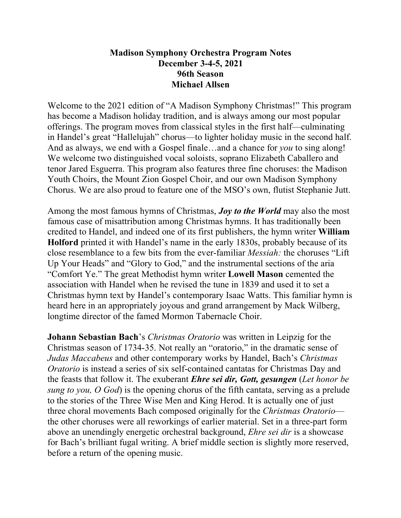# **Madison Symphony Orchestra Program Notes December 3-4-5, 2021 96th Season Michael Allsen**

Welcome to the 2021 edition of "A Madison Symphony Christmas!" This program has become a Madison holiday tradition, and is always among our most popular offerings. The program moves from classical styles in the first half—culminating in Handel's great "Hallelujah" chorus—to lighter holiday music in the second half. And as always, we end with a Gospel finale…and a chance for *you* to sing along! We welcome two distinguished vocal soloists, soprano Elizabeth Caballero and tenor Jared Esguerra. This program also features three fine choruses: the Madison Youth Choirs, the Mount Zion Gospel Choir, and our own Madison Symphony Chorus. We are also proud to feature one of the MSO's own, flutist Stephanie Jutt.

Among the most famous hymns of Christmas, *Joy to the World* may also the most famous case of misattribution among Christmas hymns. It has traditionally been credited to Handel, and indeed one of its first publishers, the hymn writer **William Holford** printed it with Handel's name in the early 1830s, probably because of its close resemblance to a few bits from the ever-familiar *Messiah:* the choruses "Lift Up Your Heads" and "Glory to God," and the instrumental sections of the aria "Comfort Ye." The great Methodist hymn writer **Lowell Mason** cemented the association with Handel when he revised the tune in 1839 and used it to set a Christmas hymn text by Handel's contemporary Isaac Watts. This familiar hymn is heard here in an appropriately joyous and grand arrangement by Mack Wilberg, longtime director of the famed Mormon Tabernacle Choir.

**Johann Sebastian Bach**'s *Christmas Oratorio* was written in Leipzig for the Christmas season of 1734-35. Not really an "oratorio," in the dramatic sense of *Judas Maccabeus* and other contemporary works by Handel, Bach's *Christmas Oratorio* is instead a series of six self-contained cantatas for Christmas Day and the feasts that follow it. The exuberant *Ehre sei dir, Gott, gesungen* (*Let honor be sung to you, O God*) is the opening chorus of the fifth cantata, serving as a prelude to the stories of the Three Wise Men and King Herod. It is actually one of just three choral movements Bach composed originally for the *Christmas Oratorio* the other choruses were all reworkings of earlier material. Set in a three-part form above an unendingly energetic orchestral background, *Ehre sei dir* is a showcase for Bach's brilliant fugal writing. A brief middle section is slightly more reserved, before a return of the opening music.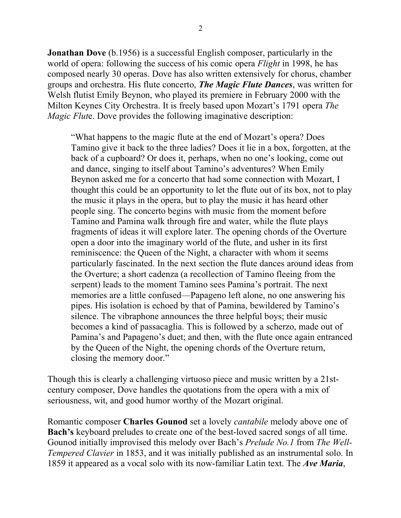**Jonathan Dove** (b.1956) is a successful English composer, particularly in the world of opera: following the success of his comic opera *Flight* in 1998, he has composed nearly 30 operas. Dove has also written extensively for chorus, chamber groups and orchestra. His flute concerto, *The Magic Flute Dances*, was written for Welsh flutist Emily Beynon, who played its premiere in February 2000 with the Milton Keynes City Orchestra. It is freely based upon Mozart's 1791 opera *The Magic Flut*e. Dove provides the following imaginative description:

"What happens to the magic flute at the end of Mozart's opera? Does Tamino give it back to the three ladies? Does it lie in a box, forgotten, at the back of a cupboard? Or does it, perhaps, when no one's looking, come out and dance, singing to itself about Tamino's adventures? When Emily Beynon asked me for a concerto that had some connection with Mozart, I thought this could be an opportunity to let the flute out of its box, not to play the music it plays in the opera, but to play the music it has heard other people sing. The concerto begins with music from the moment before Tamino and Pamina walk through fire and water, while the flute plays fragments of ideas it will explore later. The opening chords of the Overture open a door into the imaginary world of the flute, and usher in its first reminiscence: the Queen of the Night, a character with whom it seems particularly fascinated. In the next section the flute dances around ideas from the Overture; a short cadenza (a recollection of Tamino fleeing from the serpent) leads to the moment Tamino sees Pamina's portrait. The next memories are a little confused—Papageno left alone, no one answering his pipes. His isolation is echoed by that of Pamina, bewildered by Tamino's silence. The vibraphone announces the three helpful boys; their music becomes a kind of passacaglia. This is followed by a scherzo, made out of Pamina's and Papageno's duet; and then, with the flute once again entranced by the Queen of the Night, the opening chords of the Overture return, closing the memory door."

Though this is clearly a challenging virtuoso piece and music written by a 21stcentury composer, Dove handles the quotations from the opera with a mix of seriousness, wit, and good humor worthy of the Mozart original.

Romantic composer **Charles Gounod** set a lovely *cantabile* melody above one of **Bach's** keyboard preludes to create one of the best-loved sacred songs of all time. Gounod initially improvised this melody over Bach's *Prelude No.1* from *The Well-Tempered Clavier* in 1853, and it was initially published as an instrumental solo. In 1859 it appeared as a vocal solo with its now-familiar Latin text. The *Ave Maria*,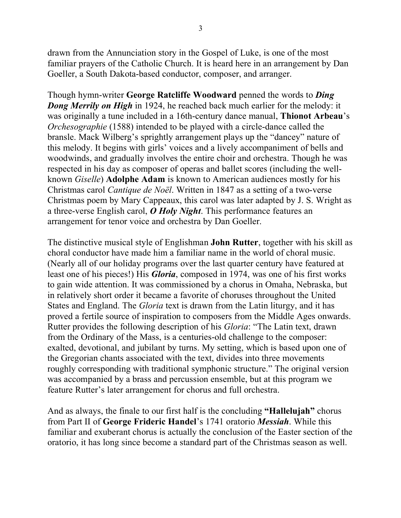drawn from the Annunciation story in the Gospel of Luke, is one of the most familiar prayers of the Catholic Church. It is heard here in an arrangement by Dan Goeller, a South Dakota-based conductor, composer, and arranger.

Though hymn-writer **George Ratcliffe Woodward** penned the words to *Ding Dong Merrily on High* in 1924, he reached back much earlier for the melody: it was originally a tune included in a 16th-century dance manual, **Thionot Arbeau**'s *Orchesographie* (1588) intended to be played with a circle-dance called the bransle. Mack Wilberg's sprightly arrangement plays up the "dancey" nature of this melody. It begins with girls' voices and a lively accompaniment of bells and woodwinds, and gradually involves the entire choir and orchestra. Though he was respected in his day as composer of operas and ballet scores (including the wellknown *Giselle*) **Adolphe Adam** is known to American audiences mostly for his Christmas carol *Cantique de Noël*. Written in 1847 as a setting of a two-verse Christmas poem by Mary Cappeaux, this carol was later adapted by J. S. Wright as a three-verse English carol, *O Holy Night*. This performance features an arrangement for tenor voice and orchestra by Dan Goeller.

The distinctive musical style of Englishman **John Rutter**, together with his skill as choral conductor have made him a familiar name in the world of choral music. (Nearly all of our holiday programs over the last quarter century have featured at least one of his pieces!) His *Gloria*, composed in 1974, was one of his first works to gain wide attention. It was commissioned by a chorus in Omaha, Nebraska, but in relatively short order it became a favorite of choruses throughout the United States and England. The *Gloria* text is drawn from the Latin liturgy, and it has proved a fertile source of inspiration to composers from the Middle Ages onwards. Rutter provides the following description of his *Gloria*: "The Latin text, drawn from the Ordinary of the Mass, is a centuries-old challenge to the composer: exalted, devotional, and jubilant by turns. My setting, which is based upon one of the Gregorian chants associated with the text, divides into three movements roughly corresponding with traditional symphonic structure." The original version was accompanied by a brass and percussion ensemble, but at this program we feature Rutter's later arrangement for chorus and full orchestra.

And as always, the finale to our first half is the concluding **"Hallelujah"** chorus from Part II of **George Frideric Handel**'s 1741 oratorio *Messiah*. While this familiar and exuberant chorus is actually the conclusion of the Easter section of the oratorio, it has long since become a standard part of the Christmas season as well.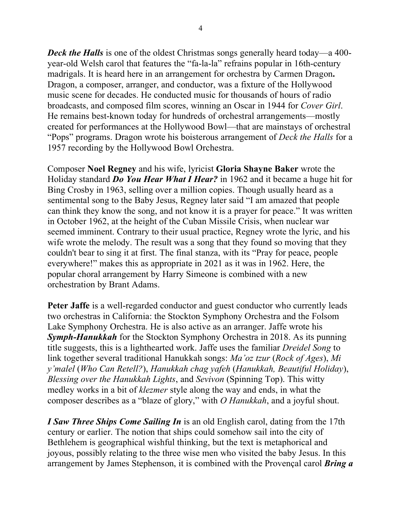*Deck the Halls* is one of the oldest Christmas songs generally heard today—a 400year-old Welsh carol that features the "fa-la-la" refrains popular in 16th-century madrigals. It is heard here in an arrangement for orchestra by Carmen Dragon**.**  Dragon, a composer, arranger, and conductor, was a fixture of the Hollywood music scene for decades. He conducted music for thousands of hours of radio broadcasts, and composed film scores, winning an Oscar in 1944 for *Cover Girl*. He remains best-known today for hundreds of orchestral arrangements—mostly created for performances at the Hollywood Bowl—that are mainstays of orchestral "Pops" programs. Dragon wrote his boisterous arrangement of *Deck the Halls* for a 1957 recording by the Hollywood Bowl Orchestra.

Composer **Noel Regney** and his wife, lyricist **Gloria Shayne Baker** wrote the Holiday standard *Do You Hear What I Hear?* in 1962 and it became a huge hit for Bing Crosby in 1963, selling over a million copies. Though usually heard as a sentimental song to the Baby Jesus, Regney later said "I am amazed that people can think they know the song, and not know it is a prayer for peace." It was written in October 1962, at the height of the Cuban Missile Crisis, when nuclear war seemed imminent. Contrary to their usual practice, Regney wrote the lyric, and his wife wrote the melody. The result was a song that they found so moving that they couldn't bear to sing it at first. The final stanza, with its "Pray for peace, people everywhere!" makes this as appropriate in 2021 as it was in 1962. Here, the popular choral arrangement by Harry Simeone is combined with a new orchestration by Brant Adams.

**Peter Jaffe** is a well-regarded conductor and guest conductor who currently leads two orchestras in California: the Stockton Symphony Orchestra and the Folsom Lake Symphony Orchestra. He is also active as an arranger. Jaffe wrote his *Symph-Hanukkah* for the Stockton Symphony Orchestra in 2018. As its punning title suggests, this is a lighthearted work. Jaffe uses the familiar *Dreidel Song* to link together several traditional Hanukkah songs: *Ma'oz tzur* (*Rock of Ages*), *Mi y'malel* (*Who Can Retell?*), *Hanukkah chag yafeh* (*Hanukkah, Beautiful Holiday*), *Blessing over the Hanukkah Lights*, and *Sevivon* (Spinning Top). This witty medley works in a bit of *klezmer* style along the way and ends, in what the composer describes as a "blaze of glory," with *O Hanukkah*, and a joyful shout.

*I Saw Three Ships Come Sailing In* is an old English carol, dating from the 17th century or earlier. The notion that ships could somehow sail into the city of Bethlehem is geographical wishful thinking, but the text is metaphorical and joyous, possibly relating to the three wise men who visited the baby Jesus. In this arrangement by James Stephenson, it is combined with the Provençal carol *Bring a*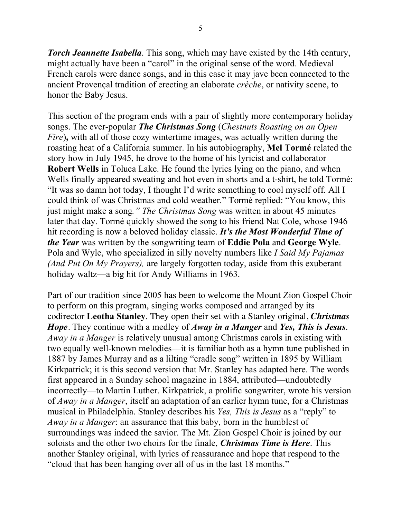*Torch Jeannette Isabella*. This song, which may have existed by the 14th century, might actually have been a "carol" in the original sense of the word. Medieval French carols were dance songs, and in this case it may jave been connected to the ancient Provençal tradition of erecting an elaborate *crèche*, or nativity scene, to honor the Baby Jesus.

This section of the program ends with a pair of slightly more contemporary holiday songs. The ever-popular *The Christmas Song* (*Chestnuts Roasting on an Open Fire*)**,** with all of those cozy wintertime images, was actually written during the roasting heat of a California summer. In his autobiography, **Mel Tormé** related the story how in July 1945, he drove to the home of his lyricist and collaborator **Robert Wells** in Toluca Lake. He found the lyrics lying on the piano, and when Wells finally appeared sweating and hot even in shorts and a t-shirt, he told Tormé: "It was so damn hot today, I thought I'd write something to cool myself off. All I could think of was Christmas and cold weather." Tormé replied: "You know, this just might make a song*." The Christmas Song* was written in about 45 minutes later that day. Tormé quickly showed the song to his friend Nat Cole, whose 1946 hit recording is now a beloved holiday classic. *It's the Most Wonderful Time of the Year* was written by the songwriting team of **Eddie Pola** and **George Wyle**. Pola and Wyle, who specialized in silly novelty numbers like *I Said My Pajamas (And Put On My Prayers),* are largely forgotten today, aside from this exuberant holiday waltz—a big hit for Andy Williams in 1963.

Part of our tradition since 2005 has been to welcome the Mount Zion Gospel Choir to perform on this program, singing works composed and arranged by its codirector **Leotha Stanley**. They open their set with a Stanley original, *Christmas Hope*. They continue with a medley of *Away in a Manger* and *Yes, This is Jesus*. *Away in a Manger* is relatively unusual among Christmas carols in existing with two equally well-known melodies—it is familiar both as a hymn tune published in 1887 by James Murray and as a lilting "cradle song" written in 1895 by William Kirkpatrick; it is this second version that Mr. Stanley has adapted here. The words first appeared in a Sunday school magazine in 1884, attributed—undoubtedly incorrectly—to Martin Luther. Kirkpatrick, a prolific songwriter, wrote his version of *Away in a Manger*, itself an adaptation of an earlier hymn tune, for a Christmas musical in Philadelphia. Stanley describes his *Yes, This is Jesus* as a "reply" to *Away in a Manger*: an assurance that this baby, born in the humblest of surroundings was indeed the savior. The Mt. Zion Gospel Choir is joined by our soloists and the other two choirs for the finale, *Christmas Time is Here*. This another Stanley original, with lyrics of reassurance and hope that respond to the "cloud that has been hanging over all of us in the last 18 months."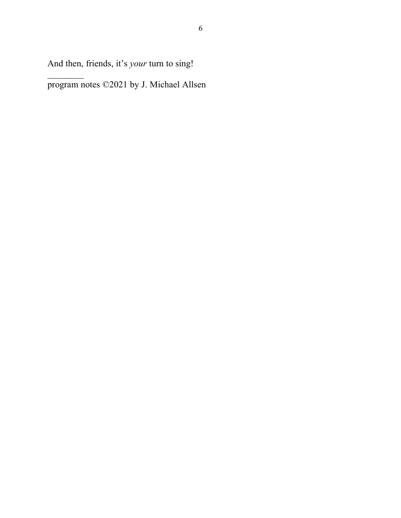And then, friends, it's *your* turn to sing!

program notes ©2021 by J. Michael Allsen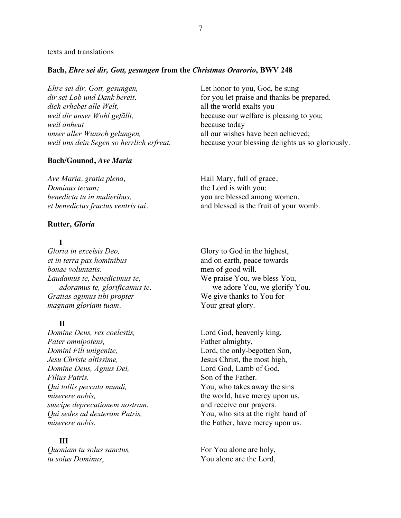### texts and translations

## **Bach,** *Ehre sei dir, Gott, gesungen* **from the** *Christmas Orarorio***, BWV 248**

*Ehre sei dir, Gott, gesungen,* Let honor to you, God, be sung *dir sei Lob und Dank bereit.* for you let praise and thanks be prepared. *dich erhebet alle Welt,* all the world exalts you *weil dir unser Wohl gefällt*, because our welfare is pleasing to you; *weil anheut* because today *unser aller Wunsch gelungen,* all our wishes have been achieved; *weil uns dein Segen so herrlich erfreut.* because your blessing delights us so gloriously.

#### **Bach/Gounod,** *Ave Maria*

*Ave Maria, gratia plena,* **Hail Mary, full of grace,** *Dominus tecum;* the Lord is with you; *benedicta tu in mulieribus,* you are blessed among women,

#### **Rutter,** *Gloria*

## **I**

*et in terra pax hominibus* and on earth, peace towards *bonae voluntatis.* men of good will. *Laudamus te, benedicimus te,* We praise You, we bless You, *Gratias agimus tibi propter* We give thanks to You for *magnam gloriam tuam*. Your great glory.

## **II**

*Domine Deus, rex coelestis,* Lord God, heavenly king, *Pater omnipotens,* Father almighty, *Domini Fili unigenite,* Lord, the only-begotten Son, *Jesu Christe altissime,* Jesus Christ, the most high, *Domine Deus, Agnus Dei,* Lord God, Lamb of God, *Filius Patris.* Son of the Father. *Qui tollis peccata mundi,*  $\begin{array}{ccc} \hbox{You, who takes away the sins} \end{array}$ *suscipe deprecationem nostram.* and receive our prayers. *miserere nobis.* the Father, have mercy upon us.

## **III**

*Quoniam tu solus sanctus,* For You alone are holy, *tu solus Dominus*, You alone are the Lord,

*et benedictus fructus ventris tui.* and blessed is the fruit of your womb.

*Gloria in excelsis Deo,* Glory to God in the highest, *adoramus te, glorificamus te*. we adore You, we glorify You.

*miserere nobis,* the world, have mercy upon us, *Qui sedes ad dexteram Patris,* You, who sits at the right hand of